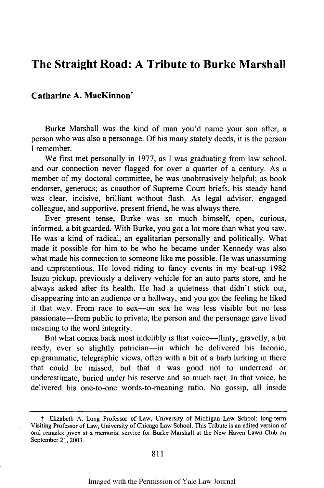## **The Straight Road: A Tribute to Burke Marshall**

## Catharine A. MacKinnon<sup>†</sup>

Burke Marshall was the kind of man you'd name your son after, a person who was also a personage. **Of** his many stately deeds, it is the person **I** remember.

We first met personally in **1977,** as **I** was graduating from law school, and our connection never flagged for over a quarter of a century. As a member of my doctoral committee, he was unobtrusively helpful; as book endorser, generous; as coauthor of Supreme Court briefs, his steady hand was clear, incisive, brilliant without flash. As legal advisor, engaged colleague, and supportive, present friend, he was always there.

Ever present tense, Burke was so much himself, open, curious, informed, a bit guarded. With Burke, you got a lot more than what you saw. He was a kind of radical, an egalitarian personally and politically. What made it possible for him to be who he became under Kennedy was also what made his connection to someone like me possible. He was unassuming and unpretentious. He loved riding to fancy events in my beat-up **1982** Isuzu pickup, previously a delivery vehicle for an auto parts **store,** and he always asked after its health. He had a quietness that didn't stick out, disappearing into an audience or a hallway, and you got the feeling he liked it that way. From race to sex-on sex he was less visible but no less passionate-from public to private, the person and the personage gave lived meaning to the word integrity.

But what comes back most indelibly is that voice—flinty, gravelly, a bit reedy, ever so slightly patrician-in which he delivered his laconic, epigrammatic, telegraphic views, often with a bit of a barb lurking in there that could be missed, but that it was good not to underread or underestimate, buried under his reserve and so much tact. In that voice, he delivered his one-to-one words-to-meaning ratio. No gossip, all inside

**t** Elizabeth **A.** Long Professor of Law, University of Michigan Law School; long-term Visiting Professor of Law, University of Chicago Law School. This Tribute is an edited version of oral remarks given at a memorial service for Burke Marshall at the New Haven Lawn Club on September 21, **2003.**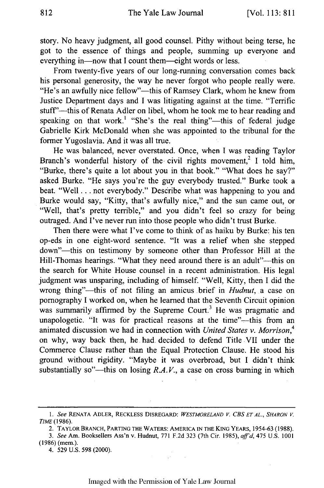story. No heavy judgment, all good counsel. Pithy without being terse, he got to the essence of things and people, summing up everyone and everything in—now that I count them—eight words or less.

From twenty-five years of our long-running conversation comes back his personal generosity, the way he never forgot who people really were. "He's an awfully nice fellow"—this of Ramsey Clark, whom he knew from Justice Department days and I was litigating against at the time. "Terrific stuff"—this of Renata Adler on libel, whom he took me to hear reading and speaking on that work.<sup>1</sup> "She's the real thing"—this of federal judge Gabrielle Kirk McDonald when she was appointed to the tribunal for the former Yugoslavia. And it was all true.

He was balanced, never overstated. Once, when I was reading Taylor Branch's wonderful history of the civil rights movement,<sup>2</sup> I told him, "Burke, there's quite a lot about you in that book." "What does he say?" asked Burke. "He says you're the guy everybody trusted." Burke took a beat. "Well... not everybody." Describe what was happening to you and Burke would say, "Kitty, that's awfully nice," and the sun came out, or "Well, that's pretty terrible," and you didn't feel so crazy for being outraged. And I've never run into those people who didn't trust Burke.

Then there were what I've come to think of as haiku by Burke: his ten op-eds in one eight-word sentence. "It was a relief when she stepped down"-this on testimony by someone other than Professor Hill at the Hill-Thomas hearings. "What they need around there is an adult"--- this on the search for White House counsel in a recent administration. His legal judgment was unsparing, including of himself. "Well, Kitty, then I did the wrong thing"--this of not filing an amicus brief in *Hudnut,* a case on pornography I worked on, when he learned that the Seventh Circuit opinion was summarily affirmed by the Supreme Court.<sup>3</sup> He was pragmatic and unapologetic. "It was for practical reasons at the time"--this from an animated discussion we had in connection with *United States v. Morrison,4* on why, way back then, he had. decided to defend Title VII under the Commerce Clause rather than the Equal Protection Clause. He stood his ground without rigidity. "Maybe it was overbroad, but I didn't think substantially so"—this on losing  $R.A.V.,$  a case on cross burning in which

2. TAYLOR BRANCH, PARTING THE WATERS: AMERICA **IN** THE **KING** YEARS, **1954-63** (1988).

4. 529 U.S. 598 (2000).

*<sup>1.</sup> See* **RENATA** ADLER, RECKLESS DISREGARD: *WESTMORELAND V. CBS ET AL., SHARON V. TIME* (1986).

*<sup>3.</sup> See* Am. Booksellers Ass'n v. Hudnut, 771 F.2d 323 (7th Cir. 1985), *aff'd,* 475 U.S. 1001 (1986) (mem.).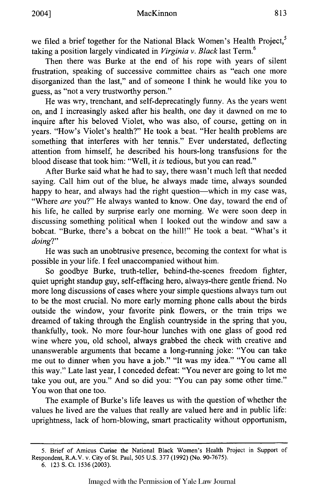we filed a brief together for the National Black Women's Health Project,<sup>5</sup> taking a position largely vindicated in *Virginia v. Black* last Term.<sup>6</sup>

Then there was Burke at the end of his rope with years of silent frustration, speaking of successive committee chairs as "each one more disorganized than the last," and of someone I think he would like you to guess, as "not a very trustworthy person."

He was wry, trenchant, and self-deprecatingly funny. As the years went on, and I increasingly asked after his health, one day it dawned on me to inquire after his beloved Violet, who was also, of course, getting on in years. "How's Violet's health?" He took a beat. "Her health problems are something that interferes with her tennis." Ever understated, deflecting attention from himself, he described his hours-long transfusions for the blood disease that took him: "Well, it *is* tedious, but you can read."

After Burke said what he had to say, there wasn't much left that needed saying. Call him out of the blue, he always made time, always sounded happy to hear, and always had the right question—which in my case was, "Where *are* you?" He always wanted to know. One day, toward the end of his life, he called by surprise early one morning. We were soon deep in discussing something political when I looked out the window and saw a bobcat. "Burke, there's a bobcat on the hill!" He took a beat. "What's it *doing?"*

He was such an unobtrusive presence, becoming the context for what is possible in your life. I feel unaccompanied without him.

So goodbye Burke, truth-teller, behind-the-scenes freedom fighter, quiet upright standup guy, self-effacing hero, always-there gentle friend. No more long discussions of cases where your simple questions always turn out to be the most crucial. No more early morning phone calls about the birds outside the window, your favorite pink flowers, or the train trips we dreamed of taking through the English countryside in the spring that you, thankfully, took. No more four-hour lunches with one glass of good red wine where you, old school, always grabbed the check with creative and unanswerable arguments that became a long-running joke: "You can take me out to dinner when you have a job." "It was my idea." "You came all this way." Late last year, I conceded defeat: "You never are going to let me take you out, are you." And so did you: "You can pay some other time." You won that one too.

The example of Burke's life leaves us with the question of whether the values he lived are the values that really are valued here and in public life: uprightness, lack of horn-blowing, smart practicality without opportunism,

<sup>5.</sup> Brief of Amicus Curiae the National Black Women's Health Project in Support of Respondent, R.A.V. v. City of St. Paul, 505 U.S. 377 (1992) (No. 90-7675).

<sup>6. 123</sup> S. Ct. 1536 (2003).